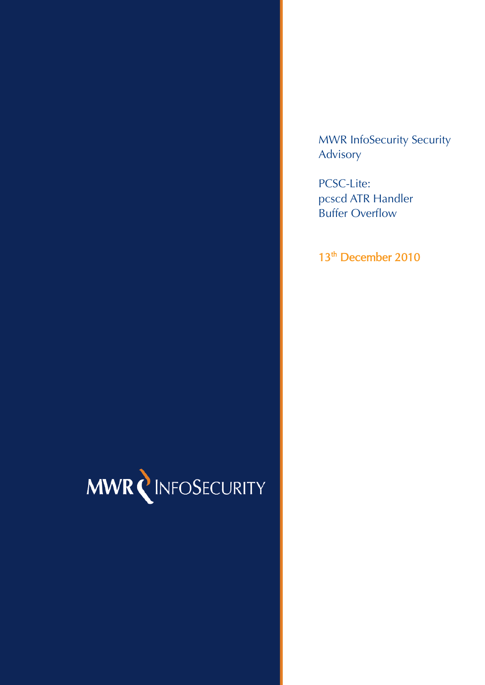MWR InfoSecurity Security Advisory

PCSC-Lite: pcscd ATR Handler Buffer Overflow

13<sup>th</sup> December 2010

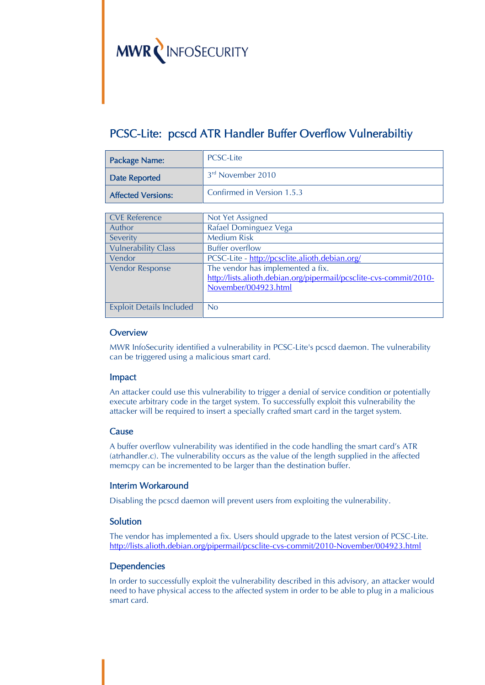# **MWR CINFOSECURITY**

## PCSC-Lite: pcscd ATR Handler Buffer Overflow Vulnerabiltiy

| Package Name:              | <b>PCSC-Lite</b>           |
|----------------------------|----------------------------|
| <b>Date Reported</b>       | 3rd November 2010          |
| <b>Affected Versions:</b>  | Confirmed in Version 1.5.3 |
|                            |                            |
| <b>CVE</b> Reference       | Not Yet Assigned           |
| Author                     | Rafael Dominguez Vega      |
| Severity                   | <b>Medium Risk</b>         |
| <b>Vulnerability Class</b> | <b>Buffer overflow</b>     |

| <b>Vulnerability Class</b>      | <b>Buffer overflow</b>                                                                                                          |
|---------------------------------|---------------------------------------------------------------------------------------------------------------------------------|
| Vendor                          | PCSC-Lite - http://pcsclite.alioth.debian.org/                                                                                  |
| <b>Vendor Response</b>          | The vendor has implemented a fix.<br>http://lists.alioth.debian.org/pipermail/pcsclite-cvs-commit/2010-<br>November/004923.html |
| <b>Exploit Details Included</b> | No                                                                                                                              |

#### **Overview**

MWR InfoSecurity identified a vulnerability in PCSC-Lite's pcscd daemon. The vulnerability can be triggered using a malicious smart card.

### Impact

An attacker could use this vulnerability to trigger a denial of service condition or potentially execute arbitrary code in the target system. To successfully exploit this vulnerability the attacker will be required to insert a specially crafted smart card in the target system.

#### **Cause**

A buffer overflow vulnerability was identified in the code handling the smart card's ATR (atrhandler.c). The vulnerability occurs as the value of the length supplied in the affected memcpy can be incremented to be larger than the destination buffer.

### Interim Workaround

Disabling the pcscd daemon will prevent users from exploiting the vulnerability.

### **Solution**

The vendor has implemented a fix. Users should upgrade to the latest version of PCSC-Lite. <http://lists.alioth.debian.org/pipermail/pcsclite-cvs-commit/2010-November/004923.html>

#### **Dependencies**

In order to successfully exploit the vulnerability described in this advisory, an attacker would need to have physical access to the affected system in order to be able to plug in a malicious smart card.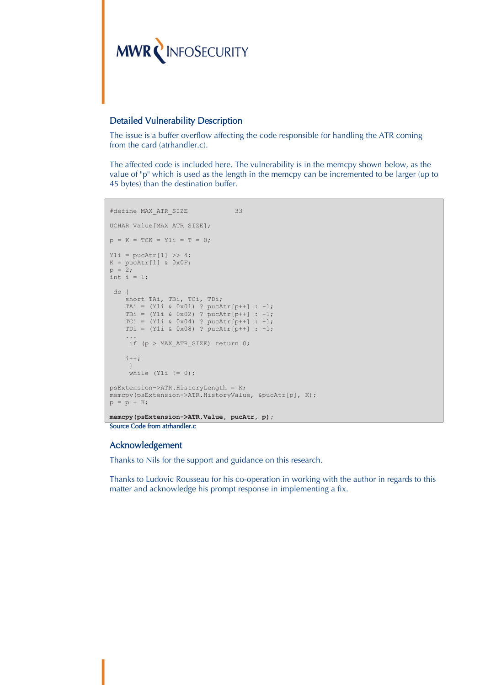# **MWR NINFOSECURITY**

#### Detailed Vulnerability Description

The issue is a buffer overflow affecting the code responsible for handling the ATR coming from the card (atrhandler.c).

The affected code is included here. The vulnerability is in the memcpy shown below, as the value of "p" which is used as the length in the memcpy can be incremented to be larger (up to 45 bytes) than the destination buffer.

```
#define MAX_ATR_SIZE 33
UCHAR Value[MAX_ATR_SIZE];
p = K = TCK = Y1i = T = 0;Y1i = pucAtr[1] >> 4;K = \text{pucAtr}[1] & 0 \times 0F;
p = 2;int i = 1;do {
    short TAi, TBi, TCi, TDi;
TAi = (Y1i \& 0x01) ? pucAtr[p++] : -1;
TBi = (Y1i \& 0x02) ? pucAtr[p++] : -1;
    TCi = (Y1i & 0x04) ? pucAtr[p++] : -1;TDi = (Y1i \& 0x08) ? pucAtr[p++] : -1;
 ...
    if (p > MAX) atr SIZE) return 0;
    i++;\begin{array}{ccc} \end{array}while (Y1i := 0);
psExtension->ATR.HistoryLength = K;
memcpy(psExtension->ATR.HistoryValue, &pucAtr[p], K);
p = p + K;memcpy(psExtension->ATR.Value, pucAtr, p);
```
Source Code from atrhandler.c

#### Acknowledgement

Thanks to Nils for the support and guidance on this research.

Thanks to Ludovic Rousseau for his co-operation in working with the author in regards to this matter and acknowledge his prompt response in implementing a fix.